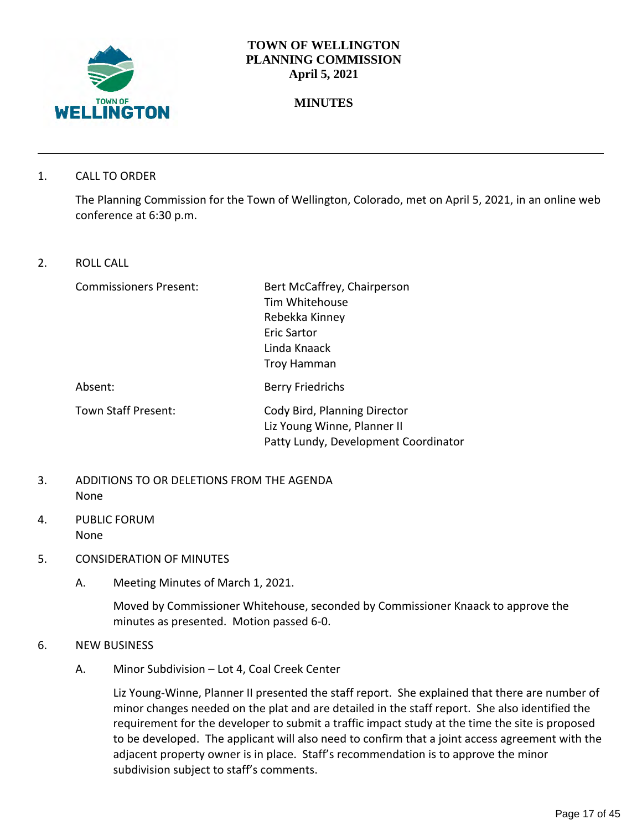

## **TOWN OF WELLINGTON PLANNING COMMISSION April 5, 2021**

# **MINUTES**

1. CALL TO ORDER

The Planning Commission for the Town of Wellington, Colorado, met on April 5, 2021, in an online web conference at 6:30 p.m.

2. ROLL CALL

Commissioners Present: Bert McCaffrey, Chairperson Tim Whitehouse Rebekka Kinney Eric Sartor Linda Knaack Troy Hamman Absent: Berry Friedrichs Town Staff Present: Cody Bird, Planning Director Liz Young Winne, Planner II Patty Lundy, Development Coordinator

- 3. ADDITIONS TO OR DELETIONS FROM THE AGENDA None
- 4. PUBLIC FORUM None
- 5. CONSIDERATION OF MINUTES
	- A. Meeting Minutes of March 1, 2021.

Moved by Commissioner Whitehouse, seconded by Commissioner Knaack to approve the minutes as presented. Motion passed 6-0.

- 6. NEW BUSINESS
	- A. Minor Subdivision Lot 4, Coal Creek Center

Liz Young-Winne, Planner II presented the staff report. She explained that there are number of minor changes needed on the plat and are detailed in the staff report. She also identified the requirement for the developer to submit a traffic impact study at the time the site is proposed to be developed. The applicant will also need to confirm that a joint access agreement with the adjacent property owner is in place. Staff's recommendation is to approve the minor subdivision subject to staff's comments.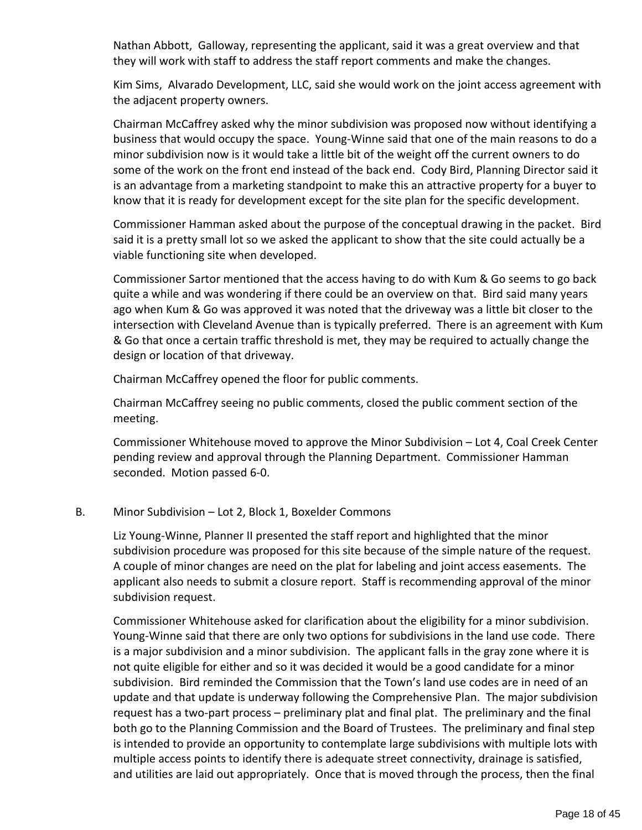Nathan Abbott, Galloway, representing the applicant, said it was a great overview and that they will work with staff to address the staff report comments and make the changes.

Kim Sims, Alvarado Development, LLC, said she would work on the joint access agreement with the adjacent property owners.

Chairman McCaffrey asked why the minor subdivision was proposed now without identifying a business that would occupy the space. Young-Winne said that one of the main reasons to do a minor subdivision now is it would take a little bit of the weight off the current owners to do some of the work on the front end instead of the back end. Cody Bird, Planning Director said it is an advantage from a marketing standpoint to make this an attractive property for a buyer to know that it is ready for development except for the site plan for the specific development.

Commissioner Hamman asked about the purpose of the conceptual drawing in the packet. Bird said it is a pretty small lot so we asked the applicant to show that the site could actually be a viable functioning site when developed.

Commissioner Sartor mentioned that the access having to do with Kum & Go seems to go back quite a while and was wondering if there could be an overview on that. Bird said many years ago when Kum & Go was approved it was noted that the driveway was a little bit closer to the intersection with Cleveland Avenue than is typically preferred. There is an agreement with Kum & Go that once a certain traffic threshold is met, they may be required to actually change the design or location of that driveway.

Chairman McCaffrey opened the floor for public comments.

Chairman McCaffrey seeing no public comments, closed the public comment section of the meeting.

Commissioner Whitehouse moved to approve the Minor Subdivision – Lot 4, Coal Creek Center pending review and approval through the Planning Department. Commissioner Hamman seconded. Motion passed 6-0.

#### B. Minor Subdivision – Lot 2, Block 1, Boxelder Commons

Liz Young-Winne, Planner II presented the staff report and highlighted that the minor subdivision procedure was proposed for this site because of the simple nature of the request. A couple of minor changes are need on the plat for labeling and joint access easements. The applicant also needs to submit a closure report. Staff is recommending approval of the minor subdivision request.

Commissioner Whitehouse asked for clarification about the eligibility for a minor subdivision. Young-Winne said that there are only two options for subdivisions in the land use code. There is a major subdivision and a minor subdivision. The applicant falls in the gray zone where it is not quite eligible for either and so it was decided it would be a good candidate for a minor subdivision. Bird reminded the Commission that the Town's land use codes are in need of an update and that update is underway following the Comprehensive Plan. The major subdivision request has a two-part process – preliminary plat and final plat. The preliminary and the final both go to the Planning Commission and the Board of Trustees. The preliminary and final step is intended to provide an opportunity to contemplate large subdivisions with multiple lots with multiple access points to identify there is adequate street connectivity, drainage is satisfied, and utilities are laid out appropriately. Once that is moved through the process, then the final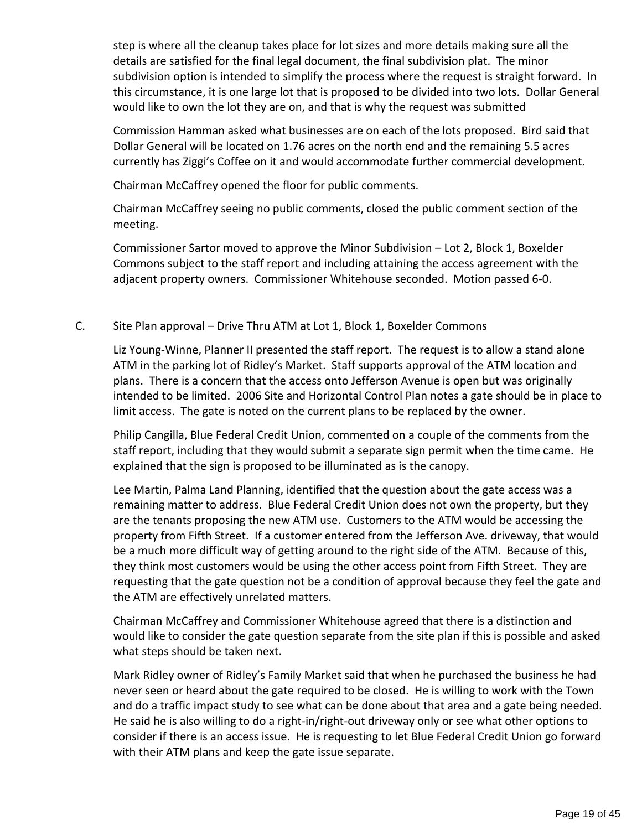step is where all the cleanup takes place for lot sizes and more details making sure all the details are satisfied for the final legal document, the final subdivision plat. The minor subdivision option is intended to simplify the process where the request is straight forward. In this circumstance, it is one large lot that is proposed to be divided into two lots. Dollar General would like to own the lot they are on, and that is why the request was submitted

Commission Hamman asked what businesses are on each of the lots proposed. Bird said that Dollar General will be located on 1.76 acres on the north end and the remaining 5.5 acres currently has Ziggi's Coffee on it and would accommodate further commercial development.

Chairman McCaffrey opened the floor for public comments.

Chairman McCaffrey seeing no public comments, closed the public comment section of the meeting.

Commissioner Sartor moved to approve the Minor Subdivision – Lot 2, Block 1, Boxelder Commons subject to the staff report and including attaining the access agreement with the adjacent property owners. Commissioner Whitehouse seconded. Motion passed 6-0.

#### C. Site Plan approval – Drive Thru ATM at Lot 1, Block 1, Boxelder Commons

Liz Young-Winne, Planner II presented the staff report. The request is to allow a stand alone ATM in the parking lot of Ridley's Market. Staff supports approval of the ATM location and plans. There is a concern that the access onto Jefferson Avenue is open but was originally intended to be limited. 2006 Site and Horizontal Control Plan notes a gate should be in place to limit access. The gate is noted on the current plans to be replaced by the owner.

Philip Cangilla, Blue Federal Credit Union, commented on a couple of the comments from the staff report, including that they would submit a separate sign permit when the time came. He explained that the sign is proposed to be illuminated as is the canopy.

Lee Martin, Palma Land Planning, identified that the question about the gate access was a remaining matter to address. Blue Federal Credit Union does not own the property, but they are the tenants proposing the new ATM use. Customers to the ATM would be accessing the property from Fifth Street. If a customer entered from the Jefferson Ave. driveway, that would be a much more difficult way of getting around to the right side of the ATM. Because of this, they think most customers would be using the other access point from Fifth Street. They are requesting that the gate question not be a condition of approval because they feel the gate and the ATM are effectively unrelated matters.

Chairman McCaffrey and Commissioner Whitehouse agreed that there is a distinction and would like to consider the gate question separate from the site plan if this is possible and asked what steps should be taken next.

Mark Ridley owner of Ridley's Family Market said that when he purchased the business he had never seen or heard about the gate required to be closed. He is willing to work with the Town and do a traffic impact study to see what can be done about that area and a gate being needed. He said he is also willing to do a right-in/right-out driveway only or see what other options to consider if there is an access issue. He is requesting to let Blue Federal Credit Union go forward with their ATM plans and keep the gate issue separate.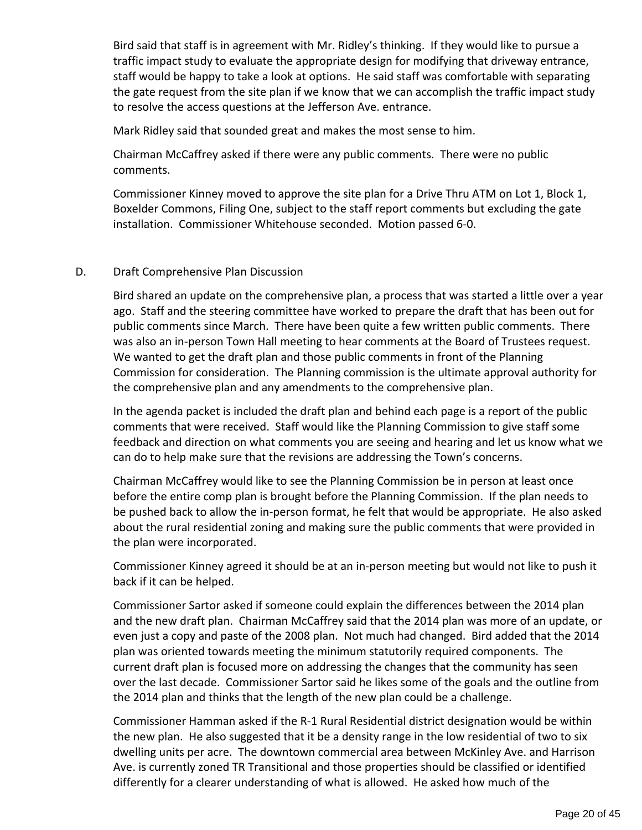Bird said that staff is in agreement with Mr. Ridley's thinking. If they would like to pursue a traffic impact study to evaluate the appropriate design for modifying that driveway entrance, staff would be happy to take a look at options. He said staff was comfortable with separating the gate request from the site plan if we know that we can accomplish the traffic impact study to resolve the access questions at the Jefferson Ave. entrance.

Mark Ridley said that sounded great and makes the most sense to him.

Chairman McCaffrey asked if there were any public comments. There were no public comments.

Commissioner Kinney moved to approve the site plan for a Drive Thru ATM on Lot 1, Block 1, Boxelder Commons, Filing One, subject to the staff report comments but excluding the gate installation. Commissioner Whitehouse seconded. Motion passed 6-0.

#### D. Draft Comprehensive Plan Discussion

Bird shared an update on the comprehensive plan, a process that was started a little over a year ago. Staff and the steering committee have worked to prepare the draft that has been out for public comments since March. There have been quite a few written public comments. There was also an in-person Town Hall meeting to hear comments at the Board of Trustees request. We wanted to get the draft plan and those public comments in front of the Planning Commission for consideration. The Planning commission is the ultimate approval authority for the comprehensive plan and any amendments to the comprehensive plan.

In the agenda packet is included the draft plan and behind each page is a report of the public comments that were received. Staff would like the Planning Commission to give staff some feedback and direction on what comments you are seeing and hearing and let us know what we can do to help make sure that the revisions are addressing the Town's concerns.

Chairman McCaffrey would like to see the Planning Commission be in person at least once before the entire comp plan is brought before the Planning Commission. If the plan needs to be pushed back to allow the in-person format, he felt that would be appropriate. He also asked about the rural residential zoning and making sure the public comments that were provided in the plan were incorporated.

Commissioner Kinney agreed it should be at an in-person meeting but would not like to push it back if it can be helped.

Commissioner Sartor asked if someone could explain the differences between the 2014 plan and the new draft plan. Chairman McCaffrey said that the 2014 plan was more of an update, or even just a copy and paste of the 2008 plan. Not much had changed. Bird added that the 2014 plan was oriented towards meeting the minimum statutorily required components. The current draft plan is focused more on addressing the changes that the community has seen over the last decade. Commissioner Sartor said he likes some of the goals and the outline from the 2014 plan and thinks that the length of the new plan could be a challenge.

Commissioner Hamman asked if the R-1 Rural Residential district designation would be within the new plan. He also suggested that it be a density range in the low residential of two to six dwelling units per acre. The downtown commercial area between McKinley Ave. and Harrison Ave. is currently zoned TR Transitional and those properties should be classified or identified differently for a clearer understanding of what is allowed. He asked how much of the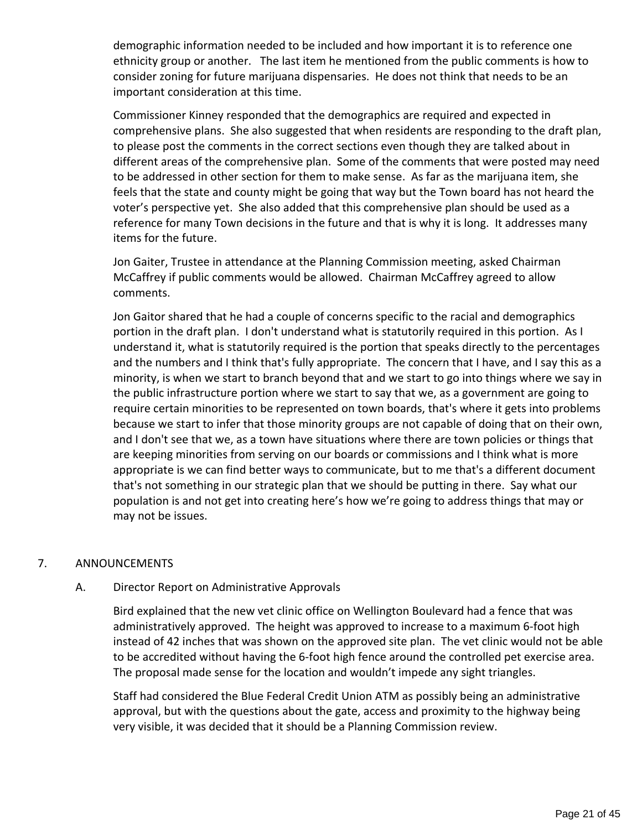demographic information needed to be included and how important it is to reference one ethnicity group or another. The last item he mentioned from the public comments is how to consider zoning for future marijuana dispensaries. He does not think that needs to be an important consideration at this time.

Commissioner Kinney responded that the demographics are required and expected in comprehensive plans. She also suggested that when residents are responding to the draft plan, to please post the comments in the correct sections even though they are talked about in different areas of the comprehensive plan. Some of the comments that were posted may need to be addressed in other section for them to make sense. As far as the marijuana item, she feels that the state and county might be going that way but the Town board has not heard the voter's perspective yet. She also added that this comprehensive plan should be used as a reference for many Town decisions in the future and that is why it is long. It addresses many items for the future.

Jon Gaiter, Trustee in attendance at the Planning Commission meeting, asked Chairman McCaffrey if public comments would be allowed. Chairman McCaffrey agreed to allow comments.

Jon Gaitor shared that he had a couple of concerns specific to the racial and demographics portion in the draft plan. I don't understand what is statutorily required in this portion. As I understand it, what is statutorily required is the portion that speaks directly to the percentages and the numbers and I think that's fully appropriate. The concern that I have, and I say this as a minority, is when we start to branch beyond that and we start to go into things where we say in the public infrastructure portion where we start to say that we, as a government are going to require certain minorities to be represented on town boards, that's where it gets into problems because we start to infer that those minority groups are not capable of doing that on their own, and I don't see that we, as a town have situations where there are town policies or things that are keeping minorities from serving on our boards or commissions and I think what is more appropriate is we can find better ways to communicate, but to me that's a different document that's not something in our strategic plan that we should be putting in there. Say what our population is and not get into creating here's how we're going to address things that may or may not be issues.

#### 7. ANNOUNCEMENTS

#### A. Director Report on Administrative Approvals

Bird explained that the new vet clinic office on Wellington Boulevard had a fence that was administratively approved. The height was approved to increase to a maximum 6-foot high instead of 42 inches that was shown on the approved site plan. The vet clinic would not be able to be accredited without having the 6-foot high fence around the controlled pet exercise area. The proposal made sense for the location and wouldn't impede any sight triangles.

Staff had considered the Blue Federal Credit Union ATM as possibly being an administrative approval, but with the questions about the gate, access and proximity to the highway being very visible, it was decided that it should be a Planning Commission review.